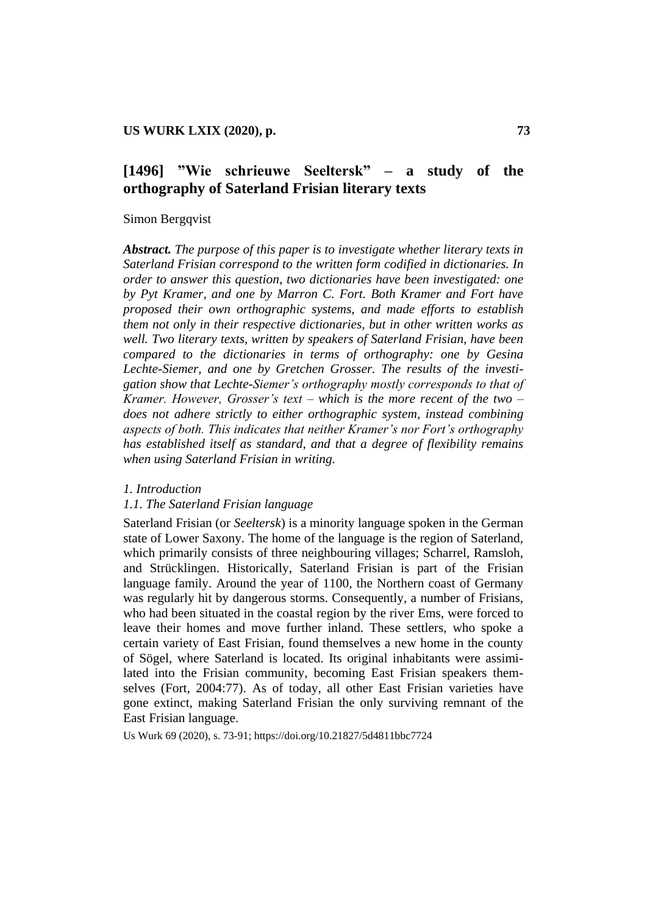# **[1496] "Wie schrieuwe Seeltersk" – a study of the orthography of Saterland Frisian literary texts**

#### Simon Bergqvist

*Abstract. The purpose of this paper is to investigate whether literary texts in Saterland Frisian correspond to the written form codified in dictionaries. In order to answer this question, two dictionaries have been investigated: one by Pyt Kramer, and one by Marron C. Fort. Both Kramer and Fort have proposed their own orthographic systems, and made efforts to establish them not only in their respective dictionaries, but in other written works as well. Two literary texts, written by speakers of Saterland Frisian, have been compared to the dictionaries in terms of orthography: one by Gesina Lechte-Siemer, and one by Gretchen Grosser. The results of the investigation show that Lechte-Siemer"s orthography mostly corresponds to that of Kramer. However, Grosser"s text – which is the more recent of the two – does not adhere strictly to either orthographic system, instead combining aspects of both. This indicates that neither Kramer"s nor Fort"s orthography has established itself as standard, and that a degree of flexibility remains when using Saterland Frisian in writing.*

#### *1. Introduction*

### *1.1. The Saterland Frisian language*

Saterland Frisian (or *Seeltersk*) is a minority language spoken in the German state of Lower Saxony. The home of the language is the region of Saterland, which primarily consists of three neighbouring villages; Scharrel, Ramsloh, and Strücklingen. Historically, Saterland Frisian is part of the Frisian language family. Around the year of 1100, the Northern coast of Germany was regularly hit by dangerous storms. Consequently, a number of Frisians, who had been situated in the coastal region by the river Ems, were forced to leave their homes and move further inland. These settlers, who spoke a certain variety of East Frisian, found themselves a new home in the county of Sögel, where Saterland is located. Its original inhabitants were assimilated into the Frisian community, becoming East Frisian speakers themselves (Fort, 2004:77). As of today, all other East Frisian varieties have gone extinct, making Saterland Frisian the only surviving remnant of the East Frisian language.

Us Wurk 69 (2020), s. 73-91; <https://doi.org/10.21827/5d4811bbc7724>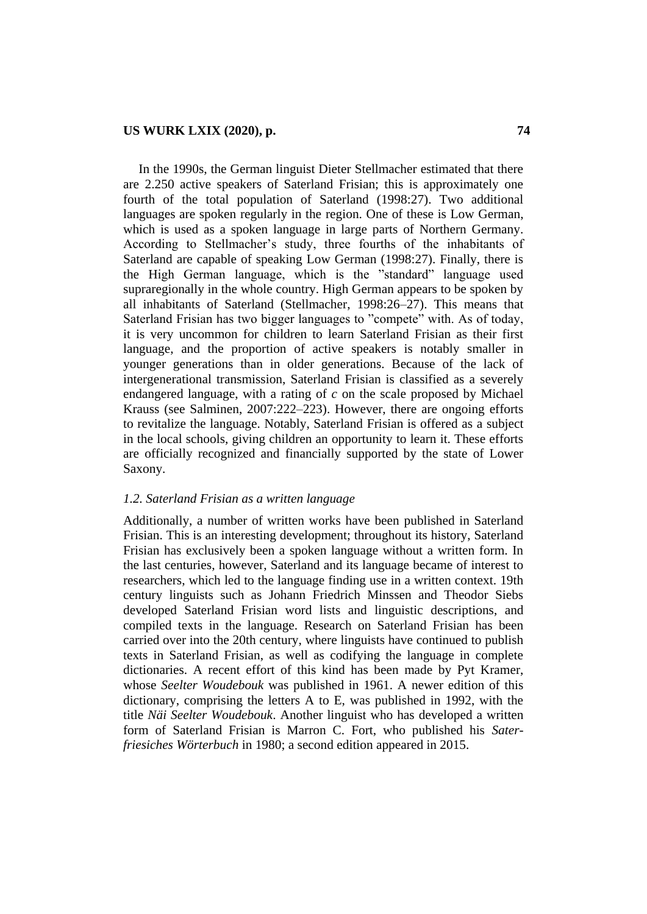In the 1990s, the German linguist Dieter Stellmacher estimated that there are 2.250 active speakers of Saterland Frisian; this is approximately one fourth of the total population of Saterland (1998:27). Two additional languages are spoken regularly in the region. One of these is Low German, which is used as a spoken language in large parts of Northern Germany. According to Stellmacher"s study, three fourths of the inhabitants of Saterland are capable of speaking Low German (1998:27). Finally, there is the High German language, which is the "standard" language used supraregionally in the whole country. High German appears to be spoken by all inhabitants of Saterland (Stellmacher, 1998:26–27). This means that Saterland Frisian has two bigger languages to "compete" with. As of today, it is very uncommon for children to learn Saterland Frisian as their first language, and the proportion of active speakers is notably smaller in younger generations than in older generations. Because of the lack of intergenerational transmission, Saterland Frisian is classified as a severely endangered language, with a rating of *c* on the scale proposed by Michael Krauss (see Salminen, 2007:222–223). However, there are ongoing efforts to revitalize the language. Notably, Saterland Frisian is offered as a subject in the local schools, giving children an opportunity to learn it. These efforts are officially recognized and financially supported by the state of Lower Saxony.

#### *1.2. Saterland Frisian as a written language*

Additionally, a number of written works have been published in Saterland Frisian. This is an interesting development; throughout its history, Saterland Frisian has exclusively been a spoken language without a written form. In the last centuries, however, Saterland and its language became of interest to researchers, which led to the language finding use in a written context. 19th century linguists such as Johann Friedrich Minssen and Theodor Siebs developed Saterland Frisian word lists and linguistic descriptions, and compiled texts in the language. Research on Saterland Frisian has been carried over into the 20th century, where linguists have continued to publish texts in Saterland Frisian, as well as codifying the language in complete dictionaries. A recent effort of this kind has been made by Pyt Kramer, whose *Seelter Woudebouk* was published in 1961. A newer edition of this dictionary, comprising the letters A to E, was published in 1992, with the title *Näi Seelter Woudebouk*. Another linguist who has developed a written form of Saterland Frisian is Marron C. Fort, who published his *Saterfriesiches Wörterbuch* in 1980; a second edition appeared in 2015.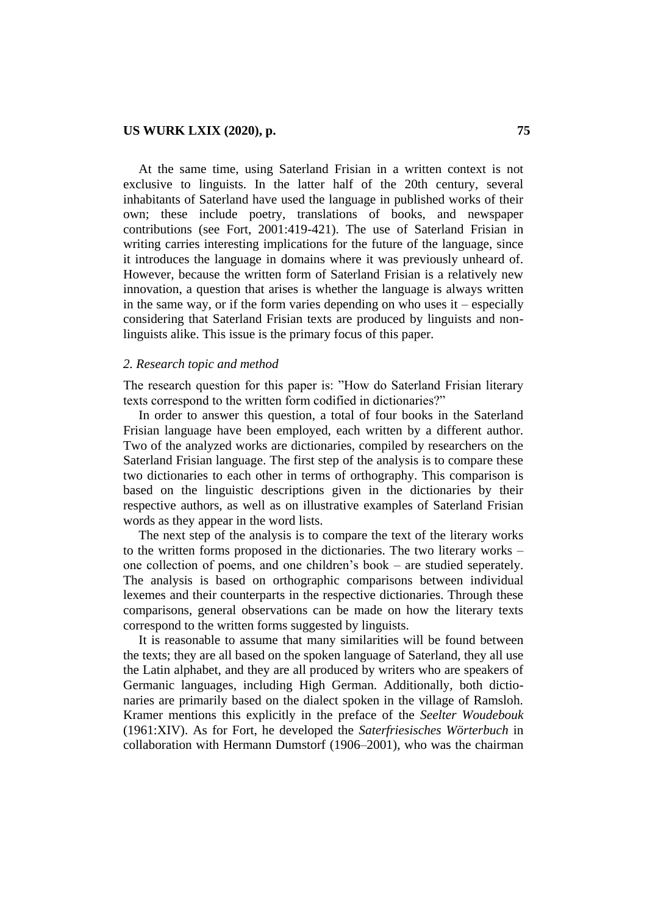At the same time, using Saterland Frisian in a written context is not exclusive to linguists. In the latter half of the 20th century, several inhabitants of Saterland have used the language in published works of their own; these include poetry, translations of books, and newspaper contributions (see Fort, 2001:419-421). The use of Saterland Frisian in writing carries interesting implications for the future of the language, since it introduces the language in domains where it was previously unheard of. However, because the written form of Saterland Frisian is a relatively new innovation, a question that arises is whether the language is always written in the same way, or if the form varies depending on who uses it – especially considering that Saterland Frisian texts are produced by linguists and nonlinguists alike. This issue is the primary focus of this paper.

#### *2. Research topic and method*

The research question for this paper is: "How do Saterland Frisian literary texts correspond to the written form codified in dictionaries?"

In order to answer this question, a total of four books in the Saterland Frisian language have been employed, each written by a different author. Two of the analyzed works are dictionaries, compiled by researchers on the Saterland Frisian language. The first step of the analysis is to compare these two dictionaries to each other in terms of orthography. This comparison is based on the linguistic descriptions given in the dictionaries by their respective authors, as well as on illustrative examples of Saterland Frisian words as they appear in the word lists.

The next step of the analysis is to compare the text of the literary works to the written forms proposed in the dictionaries. The two literary works – one collection of poems, and one children"s book – are studied seperately. The analysis is based on orthographic comparisons between individual lexemes and their counterparts in the respective dictionaries. Through these comparisons, general observations can be made on how the literary texts correspond to the written forms suggested by linguists.

It is reasonable to assume that many similarities will be found between the texts; they are all based on the spoken language of Saterland, they all use the Latin alphabet, and they are all produced by writers who are speakers of Germanic languages, including High German. Additionally, both dictionaries are primarily based on the dialect spoken in the village of Ramsloh. Kramer mentions this explicitly in the preface of the *Seelter Woudebouk* (1961:XIV). As for Fort, he developed the *Saterfriesisches Wörterbuch* in collaboration with Hermann Dumstorf (1906–2001), who was the chairman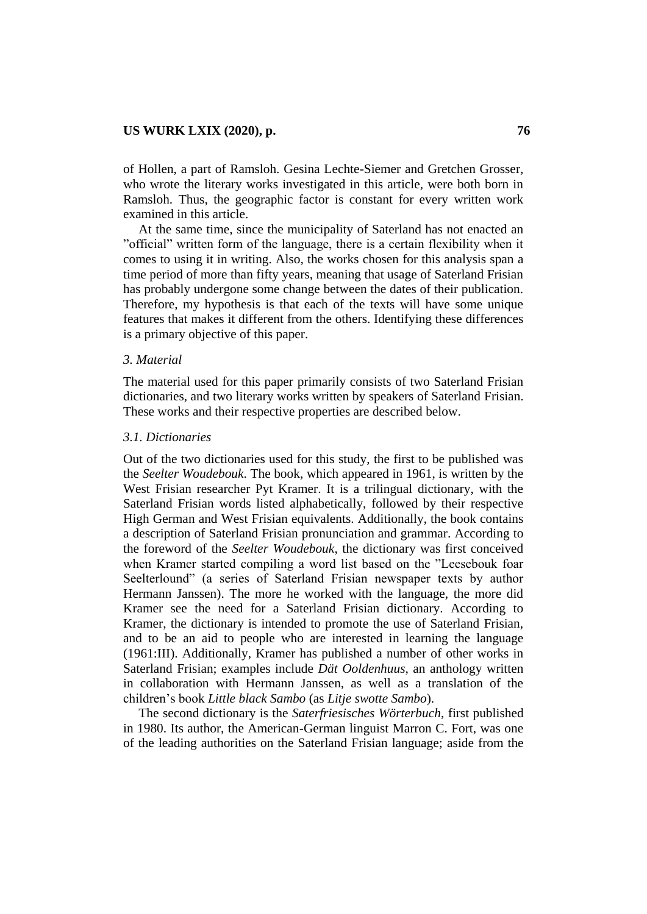of Hollen, a part of Ramsloh. Gesina Lechte-Siemer and Gretchen Grosser, who wrote the literary works investigated in this article, were both born in Ramsloh. Thus, the geographic factor is constant for every written work examined in this article.

At the same time, since the municipality of Saterland has not enacted an "official" written form of the language, there is a certain flexibility when it comes to using it in writing. Also, the works chosen for this analysis span a time period of more than fifty years, meaning that usage of Saterland Frisian has probably undergone some change between the dates of their publication. Therefore, my hypothesis is that each of the texts will have some unique features that makes it different from the others. Identifying these differences is a primary objective of this paper.

#### *3. Material*

The material used for this paper primarily consists of two Saterland Frisian dictionaries, and two literary works written by speakers of Saterland Frisian. These works and their respective properties are described below.

#### *3.1. Dictionaries*

Out of the two dictionaries used for this study, the first to be published was the *Seelter Woudebouk*. The book, which appeared in 1961, is written by the West Frisian researcher Pyt Kramer. It is a trilingual dictionary, with the Saterland Frisian words listed alphabetically, followed by their respective High German and West Frisian equivalents. Additionally, the book contains a description of Saterland Frisian pronunciation and grammar. According to the foreword of the *Seelter Woudebouk*, the dictionary was first conceived when Kramer started compiling a word list based on the "Leesebouk foar Seelterlound" (a series of Saterland Frisian newspaper texts by author Hermann Janssen). The more he worked with the language, the more did Kramer see the need for a Saterland Frisian dictionary. According to Kramer, the dictionary is intended to promote the use of Saterland Frisian, and to be an aid to people who are interested in learning the language (1961:III). Additionally, Kramer has published a number of other works in Saterland Frisian; examples include *Dät Ooldenhuus*, an anthology written in collaboration with Hermann Janssen, as well as a translation of the children"s book *Little black Sambo* (as *Litje swotte Sambo*).

The second dictionary is the *Saterfriesisches Wörterbuch*, first published in 1980. Its author, the American-German linguist Marron C. Fort, was one of the leading authorities on the Saterland Frisian language; aside from the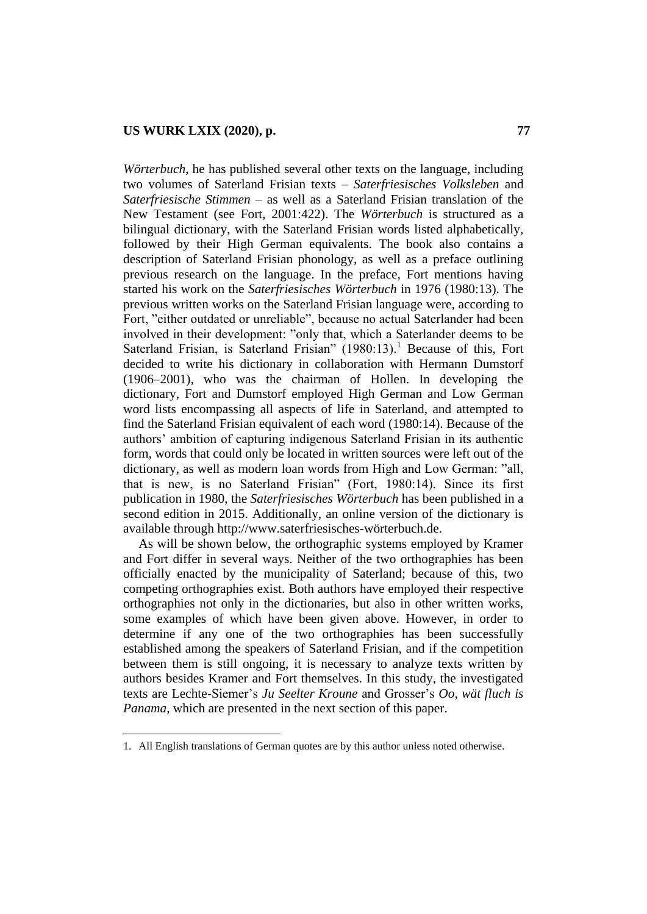*Wörterbuch*, he has published several other texts on the language, including two volumes of Saterland Frisian texts – *Saterfriesisches Volksleben* and *Saterfriesische Stimmen* – as well as a Saterland Frisian translation of the New Testament (see Fort, 2001:422). The *Wörterbuch* is structured as a bilingual dictionary, with the Saterland Frisian words listed alphabetically, followed by their High German equivalents. The book also contains a description of Saterland Frisian phonology, as well as a preface outlining previous research on the language. In the preface, Fort mentions having started his work on the *Saterfriesisches Wörterbuch* in 1976 (1980:13). The previous written works on the Saterland Frisian language were, according to Fort, "either outdated or unreliable", because no actual Saterlander had been involved in their development: "only that, which a Saterlander deems to be Saterland Frisian, is Saterland Frisian"  $(1980:13)$ .<sup>1</sup> Because of this, Fort decided to write his dictionary in collaboration with Hermann Dumstorf (1906–2001), who was the chairman of Hollen. In developing the dictionary, Fort and Dumstorf employed High German and Low German word lists encompassing all aspects of life in Saterland, and attempted to find the Saterland Frisian equivalent of each word (1980:14). Because of the authors" ambition of capturing indigenous Saterland Frisian in its authentic form, words that could only be located in written sources were left out of the dictionary, as well as modern loan words from High and Low German: "all, that is new, is no Saterland Frisian" (Fort, 1980:14). Since its first publication in 1980, the *Saterfriesisches Wörterbuch* has been published in a second edition in 2015. Additionally, an online version of the dictionary is available through [http://www.saterfriesisches-wörterbuch.de.](http://www.saterfriesisches-wörterbuch.de/)

As will be shown below, the orthographic systems employed by Kramer and Fort differ in several ways. Neither of the two orthographies has been officially enacted by the municipality of Saterland; because of this, two competing orthographies exist. Both authors have employed their respective orthographies not only in the dictionaries, but also in other written works, some examples of which have been given above. However, in order to determine if any one of the two orthographies has been successfully established among the speakers of Saterland Frisian, and if the competition between them is still ongoing, it is necessary to analyze texts written by authors besides Kramer and Fort themselves. In this study, the investigated texts are Lechte-Siemer"s *Ju Seelter Kroune* and Grosser"s *Oo, wät fluch is Panama*, which are presented in the next section of this paper.

 $\overline{\phantom{a}}$ 

<sup>1.</sup> All English translations of German quotes are by this author unless noted otherwise.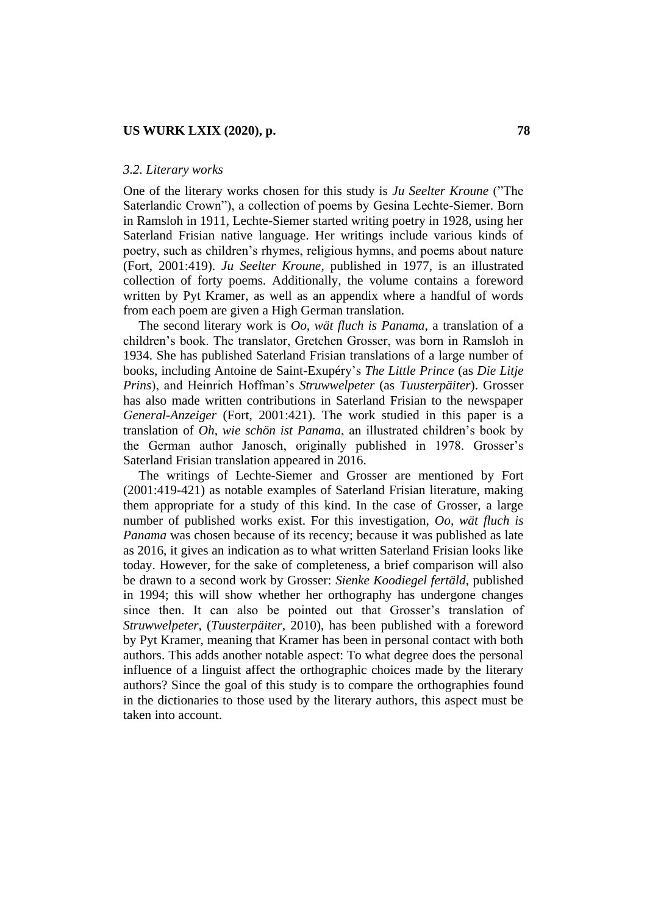#### *3.2. Literary works*

One of the literary works chosen for this study is *Ju Seelter Kroune* ("The Saterlandic Crown"), a collection of poems by Gesina Lechte-Siemer. Born in Ramsloh in 1911, Lechte-Siemer started writing poetry in 1928, using her Saterland Frisian native language. Her writings include various kinds of poetry, such as children"s rhymes, religious hymns, and poems about nature (Fort, 2001:419). *Ju Seelter Kroune*, published in 1977, is an illustrated collection of forty poems. Additionally, the volume contains a foreword written by Pyt Kramer, as well as an appendix where a handful of words from each poem are given a High German translation.

The second literary work is *Oo, wät fluch is Panama*, a translation of a children"s book. The translator, Gretchen Grosser, was born in Ramsloh in 1934. She has published Saterland Frisian translations of a large number of books, including Antoine de Saint-Exupéry"s *The Little Prince* (as *Die Litje Prins*), and Heinrich Hoffman"s *Struwwelpeter* (as *Tuusterpäiter*). Grosser has also made written contributions in Saterland Frisian to the newspaper *General-Anzeiger* (Fort, 2001:421). The work studied in this paper is a translation of *Oh, wie schön ist Panama*, an illustrated children"s book by the German author Janosch, originally published in 1978. Grosser"s Saterland Frisian translation appeared in 2016.

The writings of Lechte-Siemer and Grosser are mentioned by Fort (2001:419-421) as notable examples of Saterland Frisian literature, making them appropriate for a study of this kind. In the case of Grosser, a large number of published works exist. For this investigation, *Oo, wät fluch is Panama* was chosen because of its recency; because it was published as late as 2016, it gives an indication as to what written Saterland Frisian looks like today. However, for the sake of completeness, a brief comparison will also be drawn to a second work by Grosser: *Sienke Koodiegel fertäld*, published in 1994; this will show whether her orthography has undergone changes since then. It can also be pointed out that Grosser's translation of *Struwwelpeter*, (*Tuusterpäiter*, 2010), has been published with a foreword by Pyt Kramer, meaning that Kramer has been in personal contact with both authors. This adds another notable aspect: To what degree does the personal influence of a linguist affect the orthographic choices made by the literary authors? Since the goal of this study is to compare the orthographies found in the dictionaries to those used by the literary authors, this aspect must be taken into account.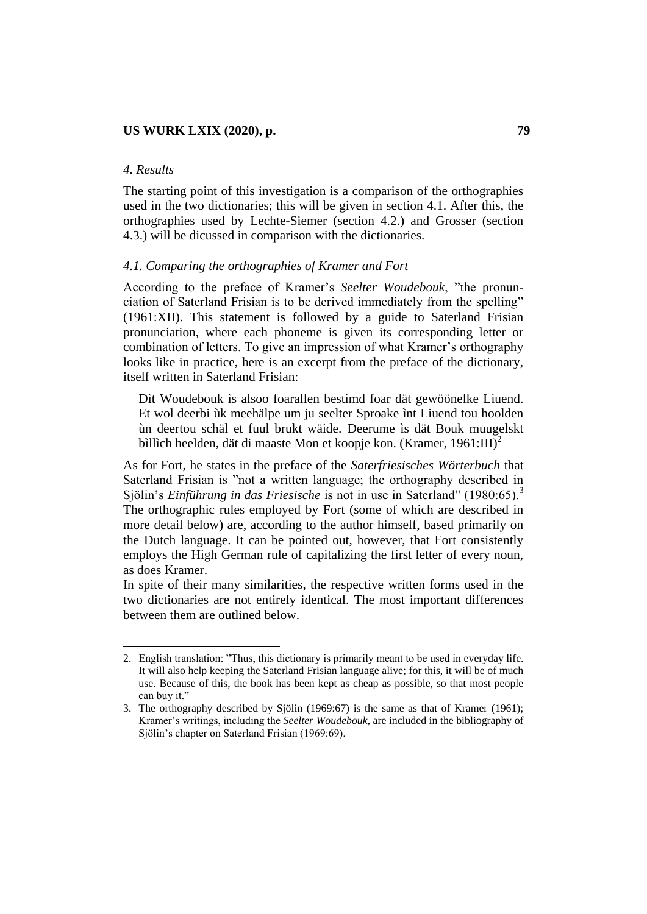### *4. Results*

 $\overline{\phantom{a}}$ 

The starting point of this investigation is a comparison of the orthographies used in the two dictionaries; this will be given in section 4.1. After this, the orthographies used by Lechte-Siemer (section 4.2.) and Grosser (section 4.3.) will be dicussed in comparison with the dictionaries.

#### *4.1. Comparing the orthographies of Kramer and Fort*

According to the preface of Kramer"s *Seelter Woudebouk*, "the pronunciation of Saterland Frisian is to be derived immediately from the spelling" (1961:XII). This statement is followed by a guide to Saterland Frisian pronunciation, where each phoneme is given its corresponding letter or combination of letters. To give an impression of what Kramer"s orthography looks like in practice, here is an excerpt from the preface of the dictionary, itself written in Saterland Frisian:

Dìt Woudebouk ìs alsoo foarallen bestimd foar dät gewöönelke Liuend. Et wol deerbi ùk meehälpe um ju seelter Sproake ìnt Liuend tou hoolden ùn deertou schäl et fuul brukt wäide. Deerume ìs dät Bouk muugelskt bìllìch heelden, dät di maaste Mon et koopje kon. (Kramer, 1961:III)<sup>2</sup>

As for Fort, he states in the preface of the *Saterfriesisches Wörterbuch* that Saterland Frisian is "not a written language; the orthography described in Sjölin"s *Einführung in das Friesische* is not in use in Saterland" (1980:65).<sup>3</sup> The orthographic rules employed by Fort (some of which are described in more detail below) are, according to the author himself, based primarily on the Dutch language. It can be pointed out, however, that Fort consistently employs the High German rule of capitalizing the first letter of every noun, as does Kramer.

In spite of their many similarities, the respective written forms used in the two dictionaries are not entirely identical. The most important differences between them are outlined below.

<sup>2.</sup> English translation: "Thus, this dictionary is primarily meant to be used in everyday life. It will also help keeping the Saterland Frisian language alive; for this, it will be of much use. Because of this, the book has been kept as cheap as possible, so that most people can buy it."

<sup>3.</sup> The orthography described by Sjölin (1969:67) is the same as that of Kramer (1961); Kramer"s writings, including the *Seelter Woudebouk*, are included in the bibliography of Siölin's chapter on Saterland Frisian (1969:69).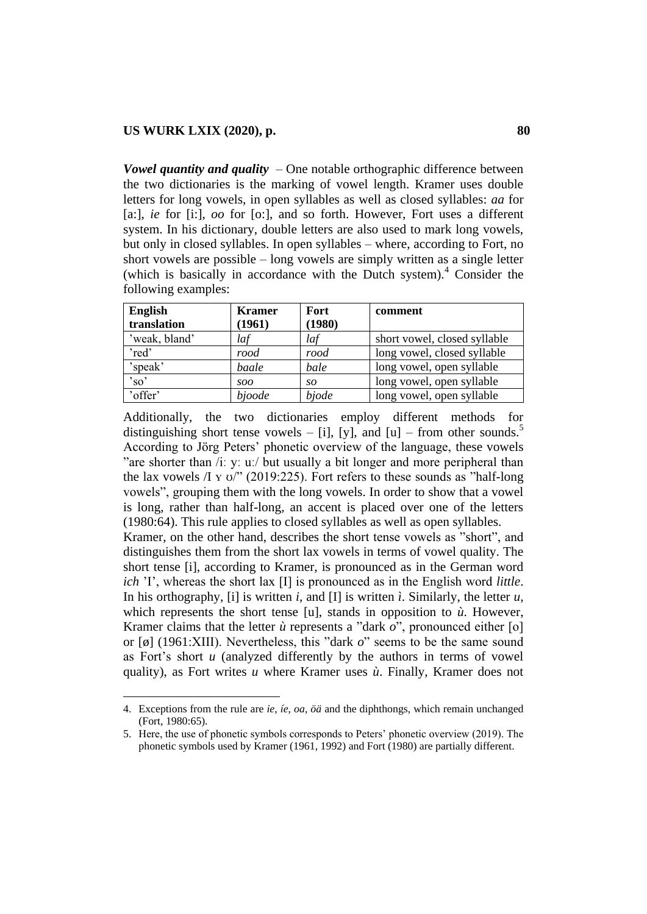$\overline{\phantom{a}}$ 

*Vowel quantity and quality* – One notable orthographic difference between the two dictionaries is the marking of vowel length. Kramer uses double letters for long vowels, in open syllables as well as closed syllables: *aa* for [a:], *ie* for [i:], *oo* for [o:], and so forth. However, Fort uses a different system. In his dictionary, double letters are also used to mark long vowels, but only in closed syllables. In open syllables – where, according to Fort, no short vowels are possible – long vowels are simply written as a single letter (which is basically in accordance with the Dutch system).<sup>4</sup> Consider the following examples:

| <b>English</b>  | <b>Kramer</b> | <b>Fort</b> | comment                      |
|-----------------|---------------|-------------|------------------------------|
| translation     | (1961)        | (1980)      |                              |
| 'weak, bland'   | laf           | laf         | short vowel, closed syllable |
| 'red'           | rood          | rood        | long vowel, closed syllable  |
| 'speak'         | baale         | bale        | long vowel, open syllable    |
| $^{\prime}$ so' | soo           | so          | long vowel, open syllable    |
| 'offer'         | bjoode        | bjode       | long vowel, open syllable    |

Additionally, the two dictionaries employ different methods for distinguishing short tense vowels – [i], [y], and [u] – from other sounds.<sup>5</sup> According to Jörg Peters" phonetic overview of the language, these vowels "are shorter than /iː yː uː/ but usually a bit longer and more peripheral than the lax vowels  $\pi$  y  $\sigma$ " (2019:225). Fort refers to these sounds as "half-long" vowels", grouping them with the long vowels. In order to show that a vowel is long, rather than half-long, an accent is placed over one of the letters (1980:64). This rule applies to closed syllables as well as open syllables. Kramer, on the other hand, describes the short tense vowels as "short", and distinguishes them from the short lax vowels in terms of vowel quality. The short tense [i], according to Kramer, is pronounced as in the German word *ich* 'I', whereas the short lax [I] is pronounced as in the English word *little*. In his orthography, [i] is written *i*, and [I] is written *i*. Similarly, the letter *u*,

which represents the short tense [u], stands in opposition to *ù*. However, Kramer claims that the letter *ù* represents a "dark *o*", pronounced either [o] or [ø] (1961:XIII). Nevertheless, this "dark *o*" seems to be the same sound as Fort"s short *u* (analyzed differently by the authors in terms of vowel quality), as Fort writes *u* where Kramer uses *ù*. Finally, Kramer does not

<sup>4.</sup> Exceptions from the rule are *ie*, *íe*, *oa*, *öä* and the diphthongs, which remain unchanged (Fort, 1980:65).

<sup>5.</sup> Here, the use of phonetic symbols corresponds to Peters" phonetic overview (2019). The phonetic symbols used by Kramer (1961, 1992) and Fort (1980) are partially different.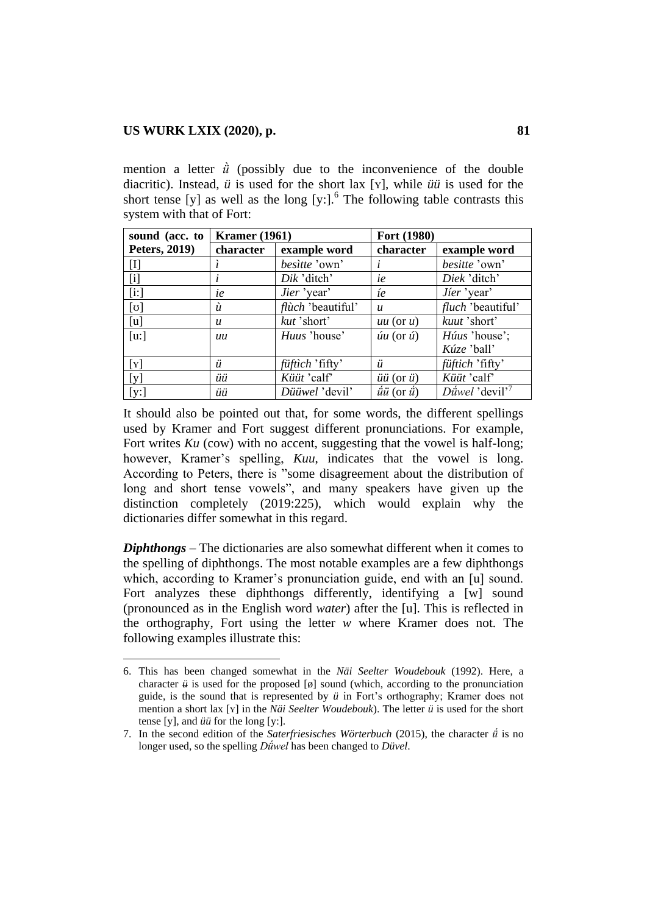$\overline{\phantom{a}}$ 

mention a letter  $\dot{u}$  (possibly due to the inconvenience of the double diacritic). Instead, *ü* is used for the short lax [ʏ], while *üü* is used for the short tense [y] as well as the long [y:]. $<sup>6</sup>$  The following table contrasts this</sup> system with that of Fort:

| sound (acc. to       | <b>Kramer</b> (1961) |                        | Fort (1980)                 |                                      |
|----------------------|----------------------|------------------------|-----------------------------|--------------------------------------|
| <b>Peters, 2019)</b> | character            | example word           | character                   | example word                         |
| $[\mathrm{I}]$       |                      | besitte 'own'          |                             | besitte 'own'                        |
| $[\mathrm{i}]$       |                      | Dik 'ditch'            | ie                          | Diek'ditch'                          |
| [i!]                 | ie                   | Jier 'year'            | íe                          | Jier 'year'                          |
| $[\sigma]$           | ù                    | flùch 'beautiful'      | $\boldsymbol{u}$            | <i>fluch</i> 'beautiful'             |
| [u]                  | $\boldsymbol{u}$     | kut 'short'            | $uu$ (or $u$ )              | kuut 'short'                         |
| $[u:$ ]              | иu                   | Huus 'house'           | $\sin(\sigma \hat{u})$      | Húus 'house';                        |
|                      |                      |                        |                             | Kúze 'ball'                          |
| [Y]                  | ü                    | <i>füftich</i> 'fifty' | ü                           | füftich 'fifty'                      |
| [y]                  | üü                   | Küüt 'calf'            | $üü$ (or $ü$ )              | Küüt 'calf'                          |
| [y:]                 | üü                   | Düüwel 'devil'         | $\vec{u}$ u (or $\vec{u}$ ) | $D \hat{u}$ wel 'devil' <sup>7</sup> |

It should also be pointed out that, for some words, the different spellings used by Kramer and Fort suggest different pronunciations. For example, Fort writes *Ku* (cow) with no accent, suggesting that the vowel is half-long; however, Kramer's spelling, *Kuu*, indicates that the vowel is long. According to Peters, there is "some disagreement about the distribution of long and short tense vowels", and many speakers have given up the distinction completely (2019:225), which would explain why the dictionaries differ somewhat in this regard.

*Diphthongs* – The dictionaries are also somewhat different when it comes to the spelling of diphthongs. The most notable examples are a few diphthongs which, according to Kramer's pronunciation guide, end with an [u] sound. Fort analyzes these diphthongs differently, identifying a [w] sound (pronounced as in the English word *water*) after the [u]. This is reflected in the orthography, Fort using the letter *w* where Kramer does not. The following examples illustrate this:

<sup>6.</sup> This has been changed somewhat in the *Näi Seelter Woudebouk* (1992). Here, a character  $\ddot{u}$  is used for the proposed [ $\phi$ ] sound (which, according to the pronunciation guide, is the sound that is represented by *ü* in Fort"s orthography; Kramer does not mention a short lax [ʏ] in the *Näi Seelter Woudebouk*). The letter *ü* is used for the short tense [y], and *üü* for the long [y:].

<sup>7.</sup> In the second edition of the *Saterfriesisches Wörterbuch* (2015), the character *ǘ* is no longer used, so the spelling *Dǘwel* has been changed to *Düvel*.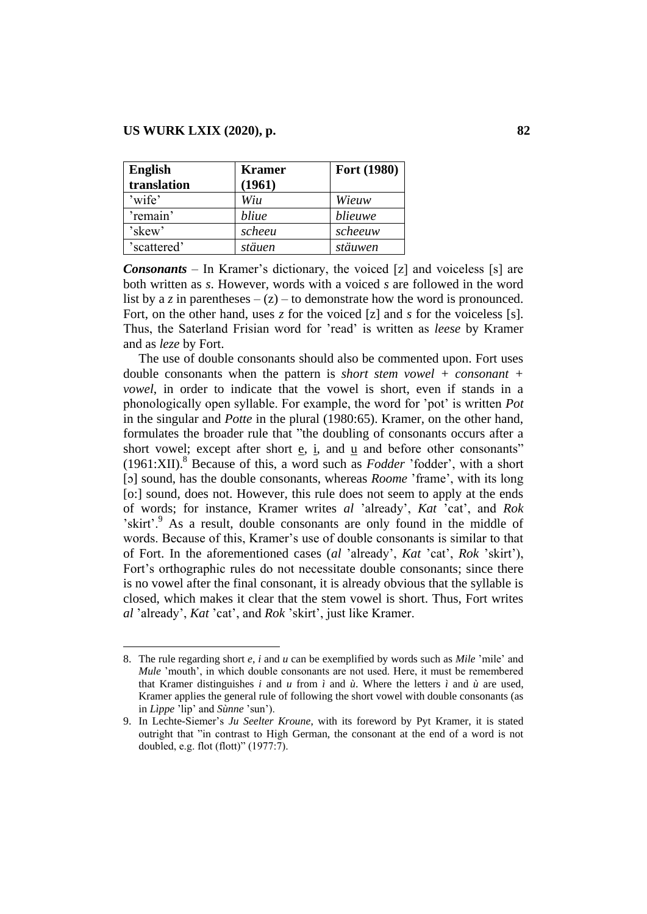$\overline{\phantom{a}}$ 

| <b>English</b> | <b>Kramer</b> | Fort (1980) |
|----------------|---------------|-------------|
| translation    | (1961)        |             |
| 'wife'         | Wiu           | Wieuw       |
| 'remain'       | bliue         | blieuwe     |
| 'skew'         | scheeu        | scheeuw     |
| 'scattered'    | stäuen        | stäuwen     |

*Consonants* – In Kramer's dictionary, the voiced [z] and voiceless [s] are both written as *s*. However, words with a voiced *s* are followed in the word list by a *z* in parentheses  $-(z)$  – to demonstrate how the word is pronounced. Fort, on the other hand, uses *z* for the voiced [z] and *s* for the voiceless [s]. Thus, the Saterland Frisian word for "read" is written as *leese* by Kramer and as *leze* by Fort.

The use of double consonants should also be commented upon. Fort uses double consonants when the pattern is *short stem vowel + consonant + vowel*, in order to indicate that the vowel is short, even if stands in a phonologically open syllable. For example, the word for "pot" is written *Pot* in the singular and *Potte* in the plural (1980:65). Kramer, on the other hand, formulates the broader rule that "the doubling of consonants occurs after a short vowel; except after short  $e$ ,  $i$ , and  $u$  and before other consonants" (1961:XII).<sup>8</sup> Because of this, a word such as *Fodder* "fodder", with a short [ɔ] sound, has the double consonants, whereas *Roome* "frame", with its long [o:] sound, does not. However, this rule does not seem to apply at the ends of words; for instance, Kramer writes *al* "already", *Kat* "cat", and *Rok* 'skirt'.<sup>9</sup> As a result, double consonants are only found in the middle of words. Because of this, Kramer"s use of double consonants is similar to that of Fort. In the aforementioned cases (*al* "already", *Kat* "cat", *Rok* "skirt"), Fort"s orthographic rules do not necessitate double consonants; since there is no vowel after the final consonant, it is already obvious that the syllable is closed, which makes it clear that the stem vowel is short. Thus, Fort writes *al* "already", *Kat* "cat", and *Rok* "skirt", just like Kramer.

<sup>8.</sup> The rule regarding short *e*, *i* and *u* can be exemplified by words such as *Mile* "mile" and *Mule* 'mouth', in which double consonants are not used. Here, it must be remembered that Kramer distinguishes *i* and *u* from *ì* and  $\hat{u}$ . Where the letters *ì* and  $\hat{u}$  are used, Kramer applies the general rule of following the short vowel with double consonants (as in *Lìppe* "lip" and *Sùnne* "sun").

<sup>9.</sup> In Lechte-Siemer"s *Ju Seelter Kroune*, with its foreword by Pyt Kramer, it is stated outright that "in contrast to High German, the consonant at the end of a word is not doubled, e.g. flot (flott)" (1977:7).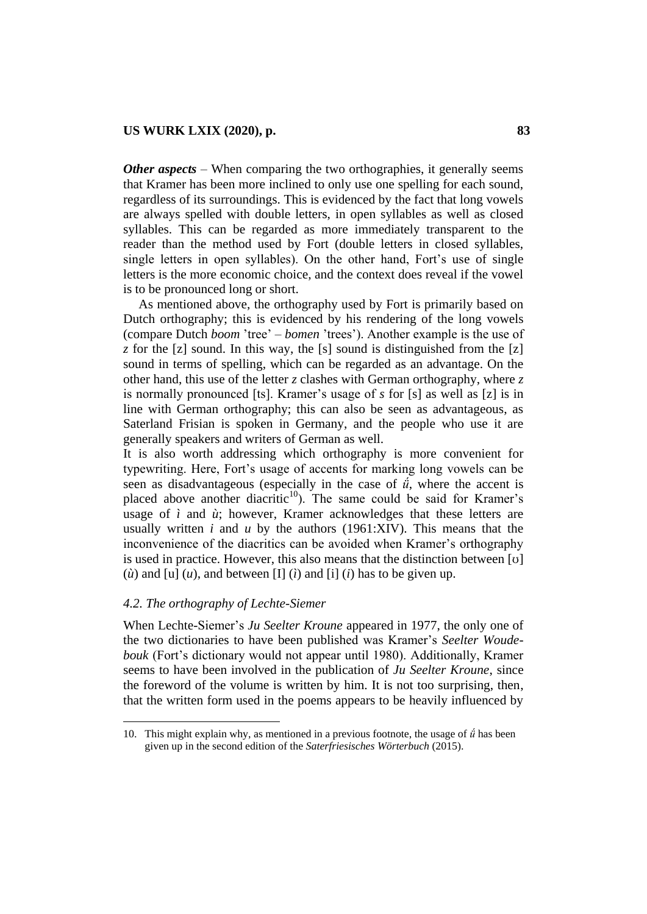*Other aspects* – When comparing the two orthographies, it generally seems that Kramer has been more inclined to only use one spelling for each sound, regardless of its surroundings. This is evidenced by the fact that long vowels are always spelled with double letters, in open syllables as well as closed syllables. This can be regarded as more immediately transparent to the reader than the method used by Fort (double letters in closed syllables, single letters in open syllables). On the other hand, Fort"s use of single letters is the more economic choice, and the context does reveal if the vowel is to be pronounced long or short.

As mentioned above, the orthography used by Fort is primarily based on Dutch orthography; this is evidenced by his rendering of the long vowels (compare Dutch *boom* "tree" – *bomen* "trees"). Another example is the use of *z* for the [z] sound. In this way, the [s] sound is distinguished from the [z] sound in terms of spelling, which can be regarded as an advantage. On the other hand, this use of the letter *z* clashes with German orthography, where *z* is normally pronounced [ts]. Kramer"s usage of *s* for [s] as well as [z] is in line with German orthography; this can also be seen as advantageous, as Saterland Frisian is spoken in Germany, and the people who use it are generally speakers and writers of German as well.

It is also worth addressing which orthography is more convenient for typewriting. Here, Fort"s usage of accents for marking long vowels can be seen as disadvantageous (especially in the case of  $\ddot{u}$ , where the accent is placed above another diacritic<sup>10</sup>). The same could be said for Kramer's usage of  $\hat{i}$  and  $\hat{u}$ ; however, Kramer acknowledges that these letters are usually written *i* and *u* by the authors (1961:XIV). This means that the inconvenience of the diacritics can be avoided when Kramer"s orthography is used in practice. However, this also means that the distinction between [ʊ] ( $\hat{u}$ ) and [u] ( $u$ ), and between [I] ( $\hat{i}$ ) and [i] ( $\hat{i}$ ) has to be given up.

### *4.2. The orthography of Lechte-Siemer*

 $\overline{a}$ 

When Lechte-Siemer"s *Ju Seelter Kroune* appeared in 1977, the only one of the two dictionaries to have been published was Kramer"s *Seelter Woudebouk* (Fort's dictionary would not appear until 1980). Additionally, Kramer seems to have been involved in the publication of *Ju Seelter Kroune*, since the foreword of the volume is written by him. It is not too surprising, then, that the written form used in the poems appears to be heavily influenced by

<sup>10.</sup> This might explain why, as mentioned in a previous footnote, the usage of *ǘ* has been given up in the second edition of the *Saterfriesisches Wörterbuch* (2015).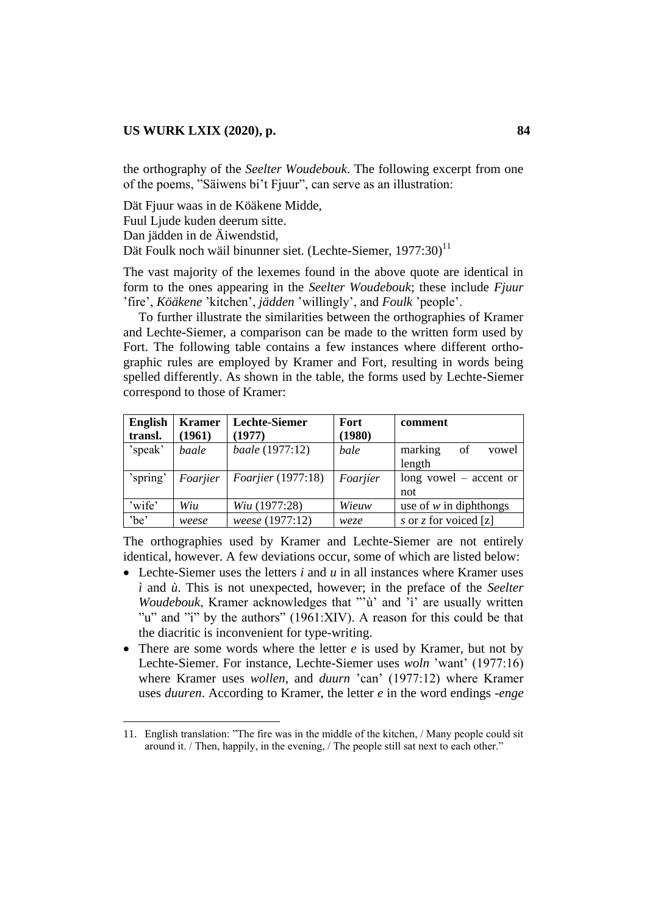the orthography of the *Seelter Woudebouk*. The following excerpt from one of the poems, "Säiwens bi"t Fjuur", can serve as an illustration:

Dät Fjuur waas in de Köäkene Midde,

Fuul Ljude kuden deerum sitte.

Dan jädden in de Äiwendstid,

 $\overline{a}$ 

Dät Foulk noch wäil binunner siet. (Lechte-Siemer,  $1977:30$ )<sup>11</sup>

The vast majority of the lexemes found in the above quote are identical in form to the ones appearing in the *Seelter Woudebouk*; these include *Fjuur* "fire", *Köäkene* "kitchen", *jädden* "willingly", and *Foulk* "people".

To further illustrate the similarities between the orthographies of Kramer and Lechte-Siemer, a comparison can be made to the written form used by Fort. The following table contains a few instances where different orthographic rules are employed by Kramer and Fort, resulting in words being spelled differently. As shown in the table, the forms used by Lechte-Siemer correspond to those of Kramer:

| <b>English</b><br>transl. | <b>Kramer</b><br>(1961) | <b>Lechte-Siemer</b><br>(1977) | Fort<br>(1980) | comment                          |
|---------------------------|-------------------------|--------------------------------|----------------|----------------------------------|
| 'speak'                   | baale                   | baale (1977:12)                | bale           | marking<br>of<br>vowel<br>length |
| 'spring'                  | Foarjier                | <i>Foarjier</i> (1977:18)      | Foarjier       | long vowel $-$ accent or<br>not  |
| 'wife'                    | Wiu                     | Wiu (1977:28)                  | Wieuw          | use of $w$ in diphthongs         |
| 'be'                      | weese                   | weese (1977:12)                | weze           | s or z for voiced [z]            |

The orthographies used by Kramer and Lechte-Siemer are not entirely identical, however. A few deviations occur, some of which are listed below:

- Lechte-Siemer uses the letters *i* and *u* in all instances where Kramer uses *ì* and *ù*. This is not unexpected, however; in the preface of the *Seelter Woudebouk*, Kramer acknowledges that ""ù" and "ì" are usually written "u" and "i" by the authors" (1961:XIV). A reason for this could be that the diacritic is inconvenient for type-writing.
- There are some words where the letter *e* is used by Kramer, but not by Lechte-Siemer. For instance, Lechte-Siemer uses *woln* "want" (1977:16) where Kramer uses *wollen*, and *duurn* 'can' (1977:12) where Kramer uses *duuren*. According to Kramer, the letter *e* in the word endings *-enge*

<sup>11.</sup> English translation: "The fire was in the middle of the kitchen, / Many people could sit around it. / Then, happily, in the evening, / The people still sat next to each other."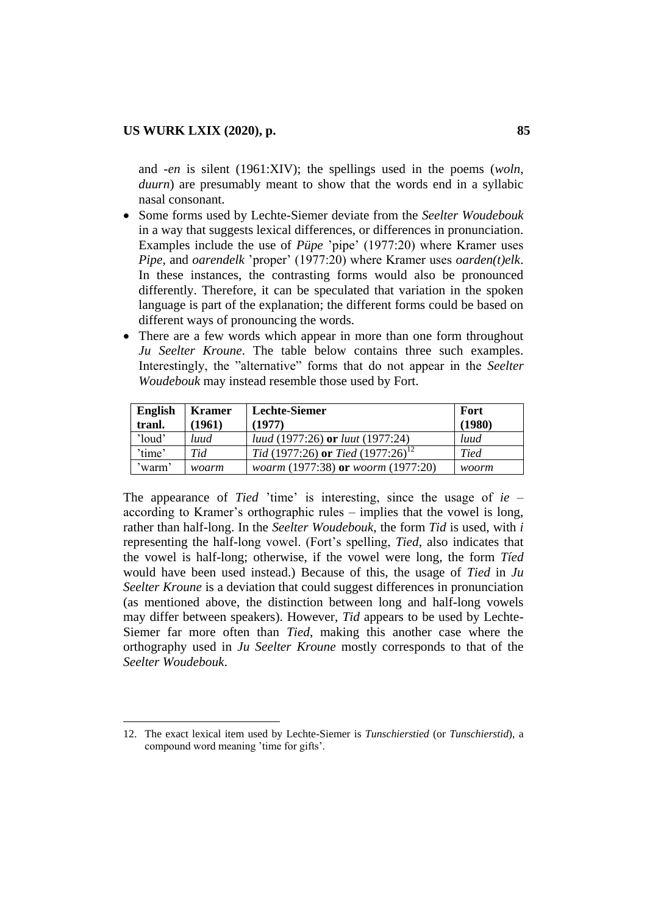$\overline{a}$ 

and *-en* is silent (1961:XIV); the spellings used in the poems (*woln*, *duurn*) are presumably meant to show that the words end in a syllabic nasal consonant.

- Some forms used by Lechte-Siemer deviate from the *Seelter Woudebouk* in a way that suggests lexical differences, or differences in pronunciation. Examples include the use of *Püpe* 'pipe' (1977:20) where Kramer uses *Pipe*, and *oarendelk* "proper" (1977:20) where Kramer uses *oarden(t)elk*. In these instances, the contrasting forms would also be pronounced differently. Therefore, it can be speculated that variation in the spoken language is part of the explanation; the different forms could be based on different ways of pronouncing the words.
- There are a few words which appear in more than one form throughout *Ju Seelter Kroune*. The table below contains three such examples. Interestingly, the "alternative" forms that do not appear in the *Seelter Woudebouk* may instead resemble those used by Fort.

| <b>English</b><br>tranl. | <b>Kramer</b><br>(1961) | <b>Lechte-Siemer</b><br>(1977)                 | Fort<br>(1980) |
|--------------------------|-------------------------|------------------------------------------------|----------------|
| 'loud'                   | luud                    | <i>luud</i> (1977:26) or <i>luut</i> (1977:24) | luud           |
| 'time'                   | Tid                     | Tid (1977:26) or Tied (1977:26) <sup>12</sup>  | <b>Tied</b>    |
| 'warm'                   | woarm                   | woarm (1977:38) or woorm (1977:20)             | woorm          |

The appearance of *Tied* 'time' is interesting, since the usage of *ie* – according to Kramer's orthographic rules – implies that the vowel is long, rather than half-long. In the *Seelter Woudebouk*, the form *Tid* is used, with *i* representing the half-long vowel. (Fort"s spelling, *Tied*, also indicates that the vowel is half-long; otherwise, if the vowel were long, the form *Tíed* would have been used instead.) Because of this, the usage of *Tied* in *Ju Seelter Kroune* is a deviation that could suggest differences in pronunciation (as mentioned above, the distinction between long and half-long vowels may differ between speakers). However, *Tid* appears to be used by Lechte-Siemer far more often than *Tied*, making this another case where the orthography used in *Ju Seelter Kroune* mostly corresponds to that of the *Seelter Woudebouk*.

<sup>12.</sup> The exact lexical item used by Lechte-Siemer is *Tunschierstied* (or *Tunschierstid*), a compound word meaning "time for gifts".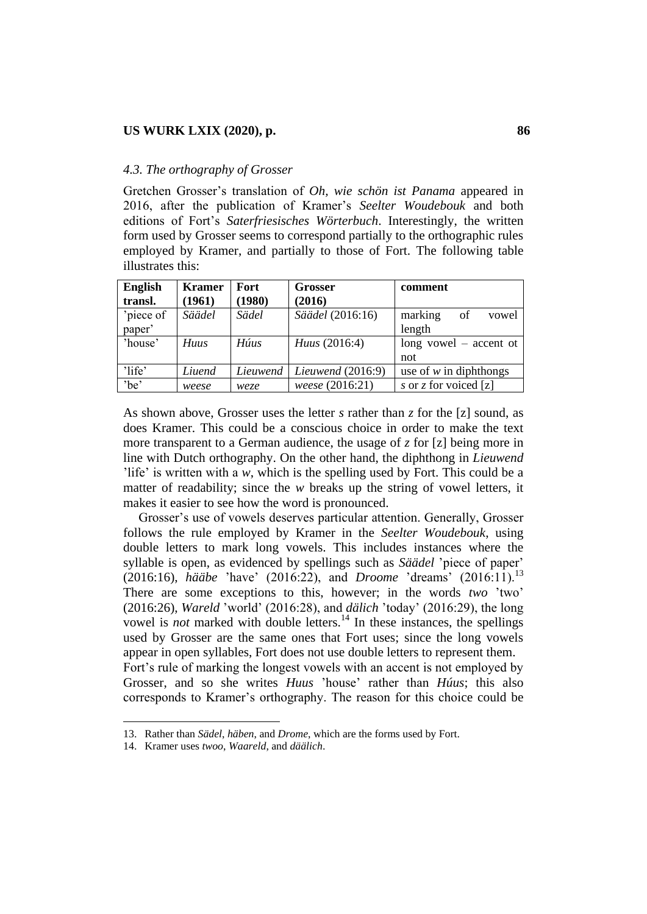#### *4.3. The orthography of Grosser*

Gretchen Grosser"s translation of *Oh, wie schön ist Panama* appeared in 2016, after the publication of Kramer"s *Seelter Woudebouk* and both editions of Fort"s *Saterfriesisches Wörterbuch*. Interestingly, the written form used by Grosser seems to correspond partially to the orthographic rules employed by Kramer, and partially to those of Fort. The following table illustrates this:

| <b>English</b> | <b>Kramer</b> | <b>Fort</b> | <b>Grosser</b>       | comment                  |
|----------------|---------------|-------------|----------------------|--------------------------|
| transl.        | (1961)        | (1980)      | (2016)               |                          |
| 'piece of      | Säädel        | Sädel       | Säädel (2016:16)     | marking<br>of<br>vowel   |
| paper'         |               |             |                      | length                   |
| 'house'        | <b>Huus</b>   | Húus        | <i>Huus</i> (2016:4) | long vowel $-$ accent of |
|                |               |             |                      | not                      |
| 'life'         | Liuend        | Lieuwend    | Lieuwend $(2016:9)$  | use of $w$ in diphthongs |
| 'be'           | weese         | weze        | weese (2016:21)      | s or z for voiced [z]    |

As shown above, Grosser uses the letter *s* rather than *z* for the [z] sound, as does Kramer. This could be a conscious choice in order to make the text more transparent to a German audience, the usage of *z* for [z] being more in line with Dutch orthography. On the other hand, the diphthong in *Lieuwend* life' is written with a *w*, which is the spelling used by Fort. This could be a matter of readability; since the *w* breaks up the string of vowel letters, it makes it easier to see how the word is pronounced.

Grosser"s use of vowels deserves particular attention. Generally, Grosser follows the rule employed by Kramer in the *Seelter Woudebouk*, using double letters to mark long vowels. This includes instances where the syllable is open, as evidenced by spellings such as *Säädel* "piece of paper" (2016:16), *hääbe* "have" (2016:22), and *Droome* "dreams" (2016:11).<sup>13</sup> There are some exceptions to this, however; in the words *two* 'two' (2016:26), *Wareld* "world" (2016:28), and *dälich* "today" (2016:29), the long vowel is *not* marked with double letters.<sup>14</sup> In these instances, the spellings used by Grosser are the same ones that Fort uses; since the long vowels appear in open syllables, Fort does not use double letters to represent them. Fort"s rule of marking the longest vowels with an accent is not employed by Grosser, and so she writes *Huus* "house" rather than *Húus*; this also corresponds to Kramer"s orthography. The reason for this choice could be

 $\overline{a}$ 

<sup>13.</sup> Rather than *Sädel*, *häben*, and *Drome*, which are the forms used by Fort.

<sup>14.</sup> Kramer uses *twoo*, *Waareld*, and *däälich*.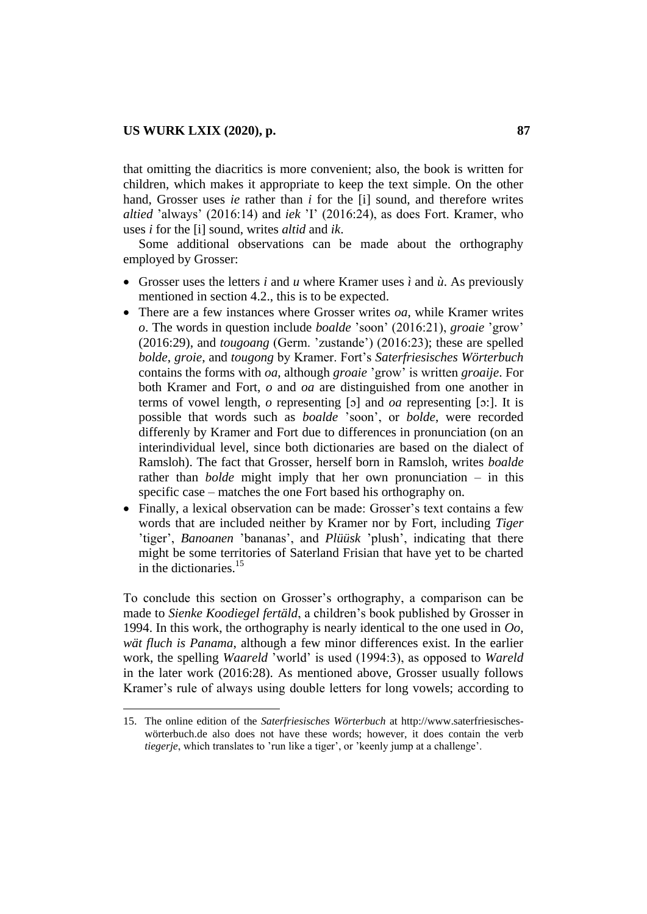$\overline{\phantom{a}}$ 

that omitting the diacritics is more convenient; also, the book is written for children, which makes it appropriate to keep the text simple. On the other hand, Grosser uses *ie* rather than *i* for the [i] sound, and therefore writes *altied* "always" (2016:14) and *iek* "I" (2016:24), as does Fort. Kramer, who uses *i* for the [i] sound, writes *altid* and *ik*.

Some additional observations can be made about the orthography employed by Grosser:

- Grosser uses the letters *i* and *u* where Kramer uses *ì* and *ù*. As previously mentioned in section 4.2., this is to be expected.
- There are a few instances where Grosser writes *oa*, while Kramer writes *o*. The words in question include *boalde* "soon" (2016:21), *groaie* "grow" (2016:29), and *tougoang* (Germ. "zustande") (2016:23); these are spelled *bolde*, *groie*, and *tougong* by Kramer. Fort"s *Saterfriesisches Wörterbuch* contains the forms with *oa*, although *groaie* "grow" is written *groaije*. For both Kramer and Fort, *o* and *oa* are distinguished from one another in terms of vowel length, *o* representing [ɔ] and *oa* representing [ɔ:]. It is possible that words such as *boalde* "soon", or *bolde*, were recorded differenly by Kramer and Fort due to differences in pronunciation (on an interindividual level, since both dictionaries are based on the dialect of Ramsloh). The fact that Grosser, herself born in Ramsloh, writes *boalde* rather than *bolde* might imply that her own pronunciation – in this specific case – matches the one Fort based his orthography on.
- Finally, a lexical observation can be made: Grosser's text contains a few words that are included neither by Kramer nor by Fort, including *Tiger* 'tiger', *Banoanen* 'bananas', and *Plüüsk* 'plush', indicating that there might be some territories of Saterland Frisian that have yet to be charted in the dictionaries. $15$

To conclude this section on Grosser"s orthography, a comparison can be made to *Sienke Koodiegel fertäld*, a children"s book published by Grosser in 1994. In this work, the orthography is nearly identical to the one used in *Oo, wät fluch is Panama*, although a few minor differences exist. In the earlier work, the spelling *Waareld* "world" is used (1994:3), as opposed to *Wareld* in the later work (2016:28). As mentioned above, Grosser usually follows Kramer's rule of always using double letters for long vowels; according to

<sup>15.</sup> The online edition of the *Saterfriesisches Wörterbuch* at [http://www.saterfriesisches](http://www.saterfriesisches-wörterbuch.de/)[wörterbuch.de](http://www.saterfriesisches-wörterbuch.de/) also does not have these words; however, it does contain the verb *tiegerje*, which translates to 'run like a tiger', or 'keenly jump at a challenge'.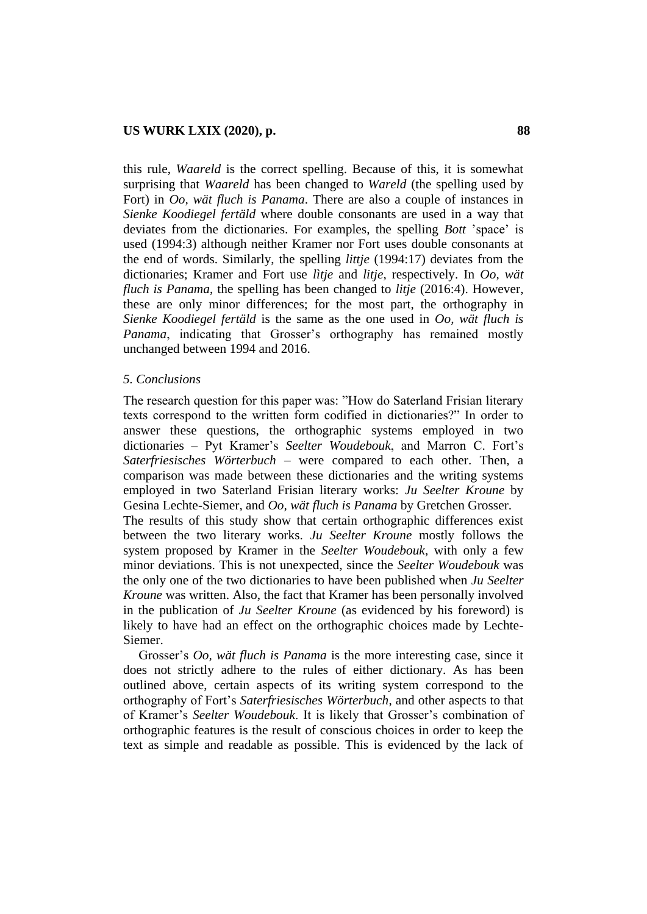this rule, *Waareld* is the correct spelling. Because of this, it is somewhat surprising that *Waareld* has been changed to *Wareld* (the spelling used by Fort) in *Oo, wät fluch is Panama*. There are also a couple of instances in *Sienke Koodiegel fertäld* where double consonants are used in a way that deviates from the dictionaries. For examples, the spelling *Bott* "space" is used (1994:3) although neither Kramer nor Fort uses double consonants at the end of words. Similarly, the spelling *littje* (1994:17) deviates from the dictionaries; Kramer and Fort use *lìtje* and *litje*, respectively. In *Oo, wät fluch is Panama*, the spelling has been changed to *litje* (2016:4). However, these are only minor differences; for the most part, the orthography in *Sienke Koodiegel fertäld* is the same as the one used in *Oo, wät fluch is Panama*, indicating that Grosser's orthography has remained mostly unchanged between 1994 and 2016.

#### *5. Conclusions*

The research question for this paper was: "How do Saterland Frisian literary texts correspond to the written form codified in dictionaries?" In order to answer these questions, the orthographic systems employed in two dictionaries – Pyt Kramer"s *Seelter Woudebouk*, and Marron C. Fort"s *Saterfriesisches Wörterbuch* – were compared to each other. Then, a comparison was made between these dictionaries and the writing systems employed in two Saterland Frisian literary works: *Ju Seelter Kroune* by Gesina Lechte-Siemer, and *Oo, wät fluch is Panama* by Gretchen Grosser.

The results of this study show that certain orthographic differences exist between the two literary works. *Ju Seelter Kroune* mostly follows the system proposed by Kramer in the *Seelter Woudebouk*, with only a few minor deviations. This is not unexpected, since the *Seelter Woudebouk* was the only one of the two dictionaries to have been published when *Ju Seelter Kroune* was written. Also, the fact that Kramer has been personally involved in the publication of *Ju Seelter Kroune* (as evidenced by his foreword) is likely to have had an effect on the orthographic choices made by Lechte-Siemer.

Grosser"s *Oo, wät fluch is Panama* is the more interesting case, since it does not strictly adhere to the rules of either dictionary. As has been outlined above, certain aspects of its writing system correspond to the orthography of Fort"s *Saterfriesisches Wörterbuch*, and other aspects to that of Kramer"s *Seelter Woudebouk*. It is likely that Grosser"s combination of orthographic features is the result of conscious choices in order to keep the text as simple and readable as possible. This is evidenced by the lack of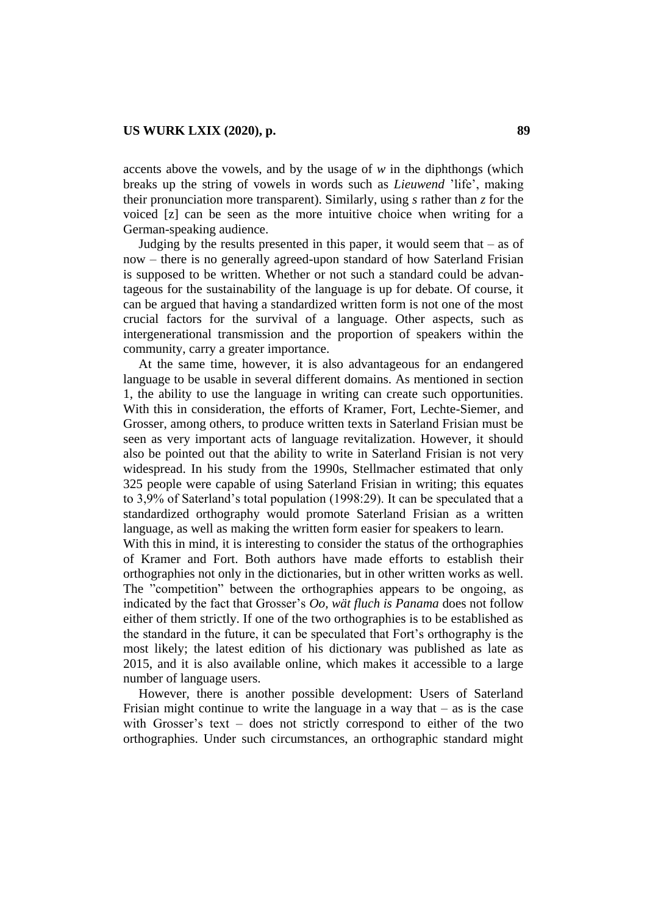accents above the vowels, and by the usage of *w* in the diphthongs (which breaks up the string of vowels in words such as *Lieuwend* "life", making their pronunciation more transparent). Similarly, using *s* rather than *z* for the voiced [z] can be seen as the more intuitive choice when writing for a German-speaking audience.

Judging by the results presented in this paper, it would seem that  $-$  as of now – there is no generally agreed-upon standard of how Saterland Frisian is supposed to be written. Whether or not such a standard could be advantageous for the sustainability of the language is up for debate. Of course, it can be argued that having a standardized written form is not one of the most crucial factors for the survival of a language. Other aspects, such as intergenerational transmission and the proportion of speakers within the community, carry a greater importance.

At the same time, however, it is also advantageous for an endangered language to be usable in several different domains. As mentioned in section 1, the ability to use the language in writing can create such opportunities. With this in consideration, the efforts of Kramer, Fort, Lechte-Siemer, and Grosser, among others, to produce written texts in Saterland Frisian must be seen as very important acts of language revitalization. However, it should also be pointed out that the ability to write in Saterland Frisian is not very widespread. In his study from the 1990s, Stellmacher estimated that only 325 people were capable of using Saterland Frisian in writing; this equates to 3,9% of Saterland"s total population (1998:29). It can be speculated that a standardized orthography would promote Saterland Frisian as a written language, as well as making the written form easier for speakers to learn.

With this in mind, it is interesting to consider the status of the orthographies of Kramer and Fort. Both authors have made efforts to establish their orthographies not only in the dictionaries, but in other written works as well. The "competition" between the orthographies appears to be ongoing, as indicated by the fact that Grosser"s *Oo, wät fluch is Panama* does not follow either of them strictly. If one of the two orthographies is to be established as the standard in the future, it can be speculated that Fort"s orthography is the most likely; the latest edition of his dictionary was published as late as 2015, and it is also available online, which makes it accessible to a large number of language users.

However, there is another possible development: Users of Saterland Frisian might continue to write the language in a way that  $-$  as is the case with Grosser's text  $-$  does not strictly correspond to either of the two orthographies. Under such circumstances, an orthographic standard might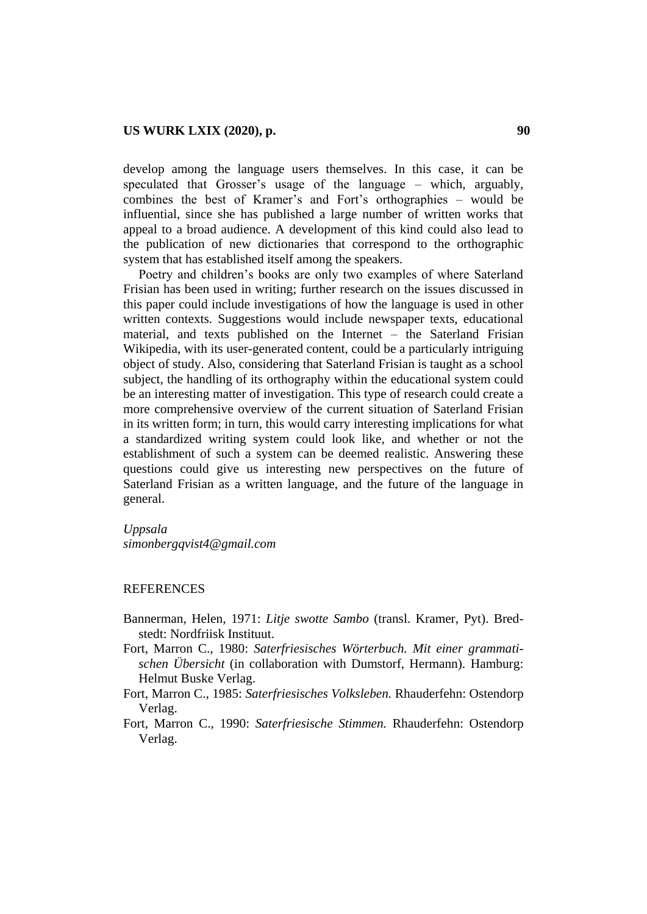develop among the language users themselves. In this case, it can be speculated that Grosser"s usage of the language – which, arguably, combines the best of Kramer"s and Fort"s orthographies – would be influential, since she has published a large number of written works that appeal to a broad audience. A development of this kind could also lead to the publication of new dictionaries that correspond to the orthographic system that has established itself among the speakers.

Poetry and children"s books are only two examples of where Saterland Frisian has been used in writing; further research on the issues discussed in this paper could include investigations of how the language is used in other written contexts. Suggestions would include newspaper texts, educational material, and texts published on the Internet – the Saterland Frisian Wikipedia, with its user-generated content, could be a particularly intriguing object of study. Also, considering that Saterland Frisian is taught as a school subject, the handling of its orthography within the educational system could be an interesting matter of investigation. This type of research could create a more comprehensive overview of the current situation of Saterland Frisian in its written form; in turn, this would carry interesting implications for what a standardized writing system could look like, and whether or not the establishment of such a system can be deemed realistic. Answering these questions could give us interesting new perspectives on the future of Saterland Frisian as a written language, and the future of the language in general.

#### *Uppsala*

*[simonbergqvist4@gmail.com](mailto:simonbergqvistr14@gmail.com)*

## **REFERENCES**

- Bannerman, Helen, 1971: *Litje swotte Sambo* (transl. Kramer, Pyt). Bredstedt: Nordfriisk Instituut.
- Fort, Marron C., 1980: *Saterfriesisches Wörterbuch. Mit einer grammatischen Übersicht* (in collaboration with Dumstorf, Hermann)*.* Hamburg: Helmut Buske Verlag.
- Fort, Marron C., 1985: *Saterfriesisches Volksleben.* Rhauderfehn: Ostendorp Verlag.
- Fort, Marron C., 1990: *Saterfriesische Stimmen.* Rhauderfehn: Ostendorp Verlag.